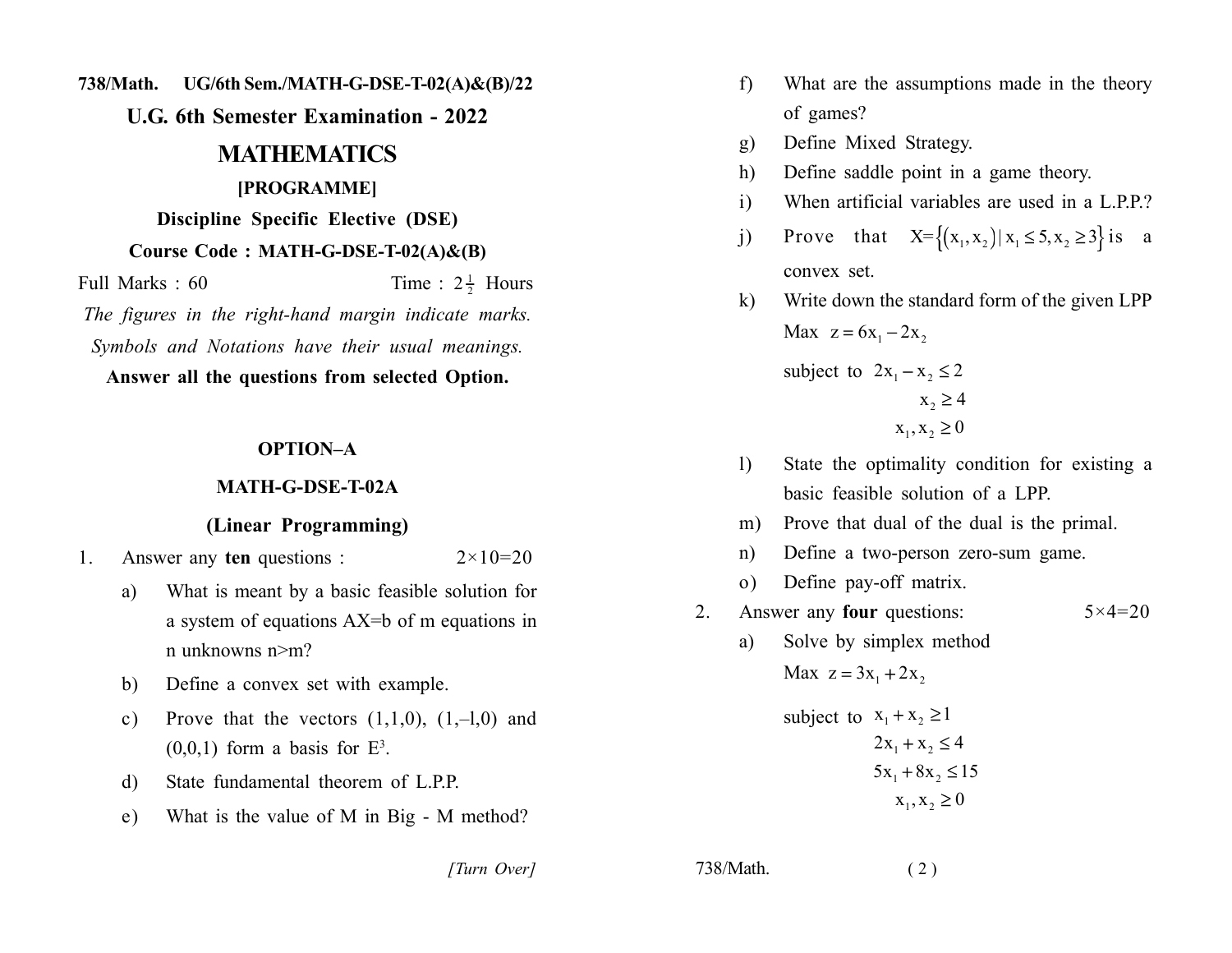**238/Math.** UG/6th Sem./MATH-G-DSE-T-02(A)&(B)/22

**222. U.G. 6th Semester Examination - 2022** 

## **22222222222222222222222223**

#### $[PROGRAMME]$

**Discipline Specific Elective (DSE)** 

#### **Course Code: MATH-G-DSE-T-02(A)&(B)**

Full Marks: 60  $2\frac{1}{2}$  Hou The figures in the right-hand margin indicate marks.

*Symbols and Notations have their usual meanings.* 

Answer all the questions from selected Option.

## **OPTION-A**

#### **2222222222222222**

### **(Linear Programming)**

1. Answer any **ten** questions :  $2 \times 10 = 20$ 

- a) What is meant by a basic feasible solution for a system of equations  $AX=b$  of m equations in n unknowns  $n > m$ ?
- b) Define a convex set with example.
- c) Prove that the vectors  $(1,1,0)$ ,  $(1,-1,0)$  and  $(0,0,1)$  form a basis for  $E^3$ .
- d) State fundamental theorem of L.P.P.
- e) What is the value of M in Big M method?

- f) What are the assumptions made in the theory of games?
- g) Define Mixed Strategy.
- h) Define saddle point in a game theory.
- $\dot{\mathbf{i}}$  When artificial variables are used in a L.P.P.?
- j) Prove that  $X = \{(x_1, x_2) | x_1 \le 5, x_2 \ge 3\}$  is a convex set.

k) Write down the standard form of the given LPP Max  $z = 6x_1 - 2x_2$ subject to  $2x_1 - x_2 \le 2$  $x_2 \geq 4$  $x_1, x_2 \ge 0$ 

- 1) State the optimality condition for existing a basic feasible solution of a LPP.
- m) Prove that dual of the dual is the primal.
- n) Define a two-person zero-sum game.
- o) Define pay-off matrix.
- 2. Answer any **four** questions:  $5 \times 4 = 20$ 
	- a) Solve by simplex method Max  $z = 3x_1 + 2x_2$ .

subject to 
$$
x_1 + x_2 \ge 1
$$
  
\n $2x_1 + x_2 \le 4$   
\n $5x_1 + 8x_2 \le 15$   
\n $x_1, x_2 \ge 0$ 

*[Turn Over]* 238/Math. (2)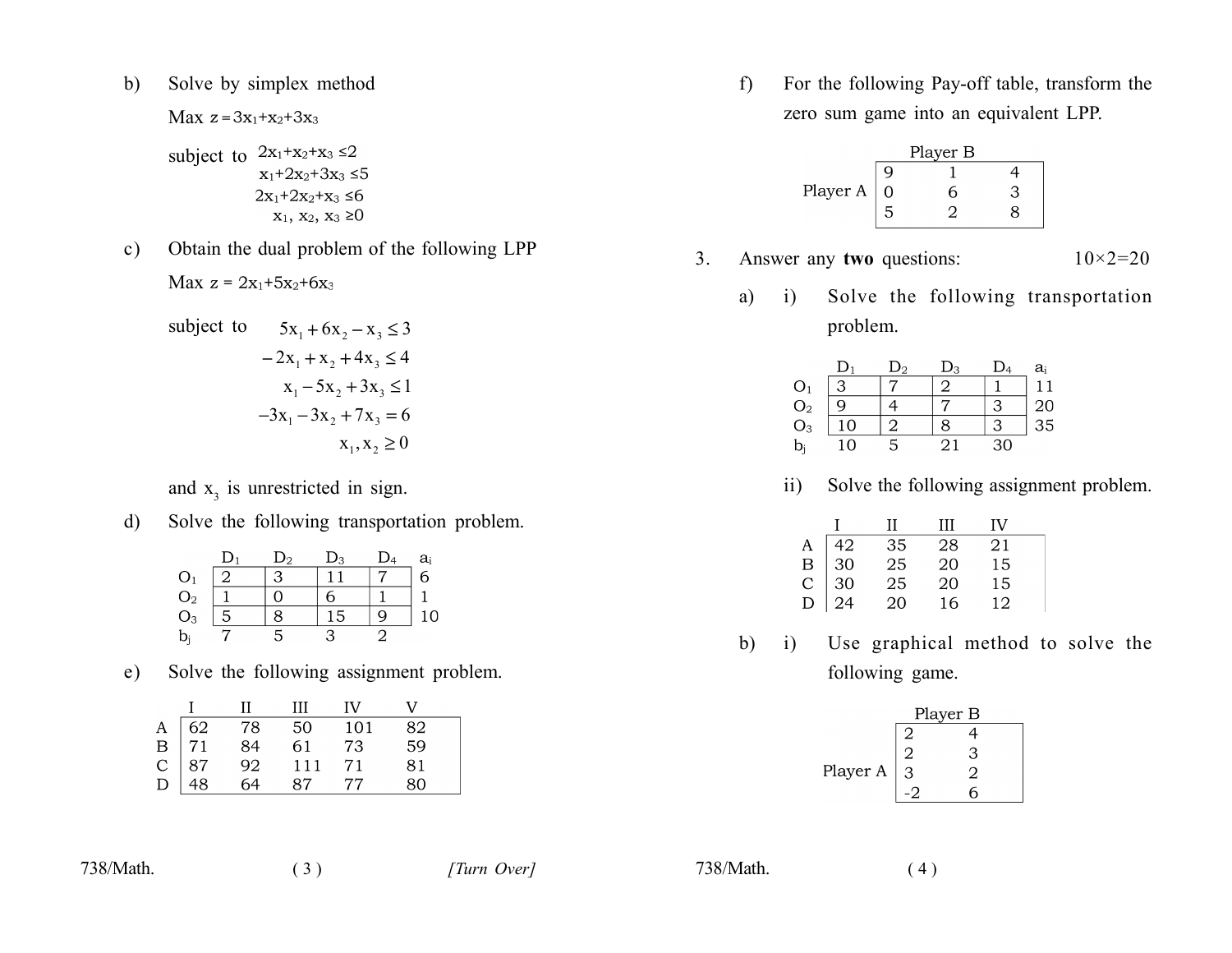Solve by simplex method  $b)$ 

Max  $z = 3x_1 + x_2 + 3x_3$ 

subject to 
$$
2x_1 + x_2 + x_3 \le 2
$$

$$
x_1 + 2x_2 + 3x_3 \le 5
$$

$$
2x_1 + 2x_2 + x_3 \le 6
$$

$$
x_1, x_2, x_3 \ge 0
$$

Obtain the dual problem of the following LPP  $\mathbf{c})$ 

$$
Max z = 2x_1+5x_2+6x_3
$$

subject to 
$$
5x_1 + 6x_2 - x_3 \le 3
$$
  
\n $-2x_1 + x_2 + 4x_3 \le 4$   
\n $x_1 - 5x_2 + 3x_3 \le 1$   
\n $-3x_1 - 3x_2 + 7x_3 = 6$   
\n $x_1, x_2 \ge 0$ 

and  $x_3$  is unrestricted in sign.

 $d)$ Solve the following transportation problem.

|                                  |   | $\mathbf{D}_2$ | $D_3$ | $\mathrm{D}_4$ | $a_i$ |
|----------------------------------|---|----------------|-------|----------------|-------|
|                                  | 2 | ാ              |       |                | 6     |
| $O_1$<br>$O_2$<br>$O_3$<br>$b_i$ |   |                |       |                |       |
|                                  | 5 |                | 15    | Q              | 10    |
|                                  |   |                |       |                |       |

Solve the following assignment problem.  $e)$ 

|                                                                              | - 0 -                | Ш   | TV. |    |  |
|------------------------------------------------------------------------------|----------------------|-----|-----|----|--|
| $\begin{tabular}{c c} A & 62 \\ B & 71 \\ C & 87 \\ D & 48 \\ \end{tabular}$ |                      | 50  | 101 | 82 |  |
|                                                                              |                      | 61  | 73  | 59 |  |
|                                                                              | 78<br>84<br>92<br>64 | 111 | 71  | 81 |  |
|                                                                              |                      | 87  | 77  | 80 |  |

738/Math.

738/Math.

 $(4)$ 

 $f$ For the following Pay-off table, transform the zero sum game into an equivalent LPP.



- $3<sub>1</sub>$ Answer any two questions:  $10 \times 2 = 20$ 
	- Solve the following transportation  $a)$ i) problem.

|                                                       | $D_1$ | $\mathsf{D}_2$ | $D_3$ | $\mathrm{D}_4$ | $a_i$           |
|-------------------------------------------------------|-------|----------------|-------|----------------|-----------------|
|                                                       | 3     |                |       |                | 11              |
|                                                       | q     |                |       | ↷              | $\frac{20}{35}$ |
| $\frac{\mathrm{O}_1}{\mathrm{O}_2}$<br>$\mathrm{O}_3$ | 10    |                |       | っ              |                 |
| $b_i$                                                 | 10    | 5              | 21    | 30             |                 |
|                                                       |       |                |       |                |                 |

Solve the following assignment problem.  $ii)$ 

|             |    | Н               | ш  | IV |  |
|-------------|----|-----------------|----|----|--|
|             | 42 | 35              | 28 | 21 |  |
|             | 30 | $\overline{25}$ | 20 | 15 |  |
| A<br>B<br>C | 30 | 25              | 20 | 15 |  |
| Ð           |    | $\frac{1}{20}$  | 16 | 12 |  |

 $b)$  $\mathbf{i}$ Use graphical method to solve the following game.

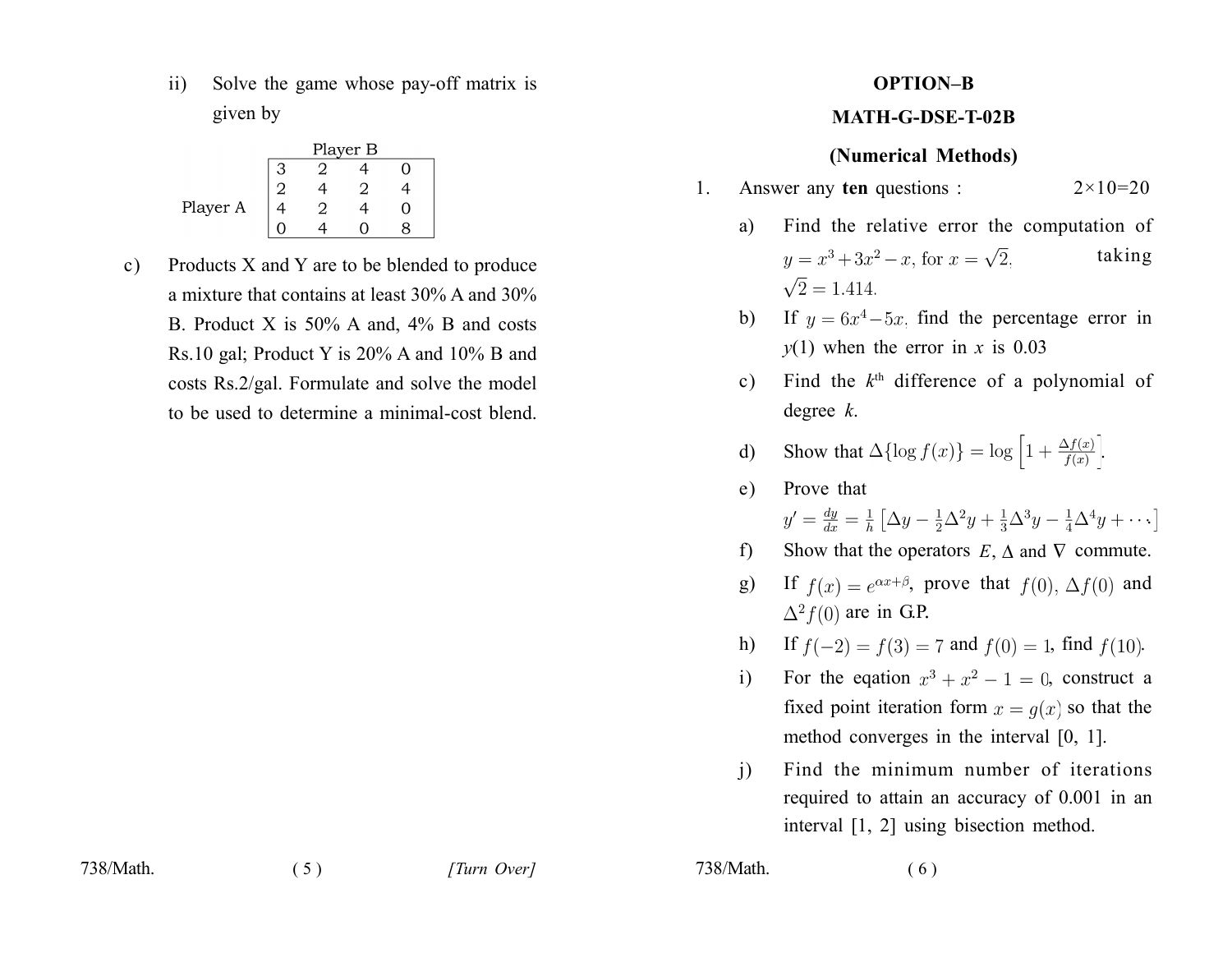Solve the game whose pay-off matrix is  $\overline{11}$ given by

|          | Player B |  |     |  |  |  |
|----------|----------|--|-----|--|--|--|
|          |          |  |     |  |  |  |
|          |          |  |     |  |  |  |
| Player A |          |  | ( ) |  |  |  |
|          |          |  |     |  |  |  |

Products X and Y are to be blended to produce  $\mathbf{c})$ a mixture that contains at least 30% A and 30% B. Product X is  $50\%$  A and,  $4\%$  B and costs Rs.10 gal; Product Y is 20% A and 10% B and costs Rs.2/gal. Formulate and solve the model to be used to determine a minimal-cost blend.

# **OPTION-B**

## **MATH-G-DSE-T-02B**

## (Numerical Methods)

- Answer any ten questions :  $2 \times 10 = 20$  $1_{\cdot}$ 
	- Find the relative error the computation of a) taking  $y = x^3 + 3x^2 - x$ , for  $x = \sqrt{2}$ ,  $\sqrt{2} = 1.414.$
	- b) If  $y = 6x^4 5x$ , find the percentage error in  $y(1)$  when the error in x is 0.03
	- c) Find the  $k<sup>th</sup>$  difference of a polynomial of degree  $k$ .

d) Show that 
$$
\Delta \{ \log f(x) \} = \log \left[ 1 + \frac{\Delta f(x)}{f(x)} \right]
$$
.

Prove that  $dy = 1 \left[ \Delta_{21} + 1 \Delta_{22} + 1 \Delta_{23} + 1 \Delta_{24} + 1 \Delta_{24} + 1 \right]$ 

$$
y' = \frac{dy}{dx} = \frac{1}{h} \left[ \Delta y - \frac{1}{2} \Delta^2 y + \frac{1}{3} \Delta^3 y - \frac{1}{4} \Delta^4 y + \cdots \right]
$$
  
Show that the operators,  $F$ ,  $\Delta$  and  $\nabla$  commute.

- $f$ Show that the operators  $E, \Delta$  and  $\nabla$  commute.
- $g)$ If  $f(x) = e^{\alpha x + \beta}$ , prove that  $f(0)$ ,  $\Delta f(0)$  and  $\Delta^2 f(0)$  are in G.P.
- If  $f(-2) = f(3) = 7$  and  $f(0) = 1$ , find  $f(10)$ .  $h)$
- For the equation  $x^3 + x^2 1 = 0$ , construct a  $\overline{1}$ fixed point iteration form  $x = q(x)$  so that the method converges in the interval  $[0, 1]$ .
- Find the minimum number of iterations  $\overline{1}$ required to attain an accuracy of 0.001 in an interval [1, 2] using bisection method.

738/Math.

 $e)$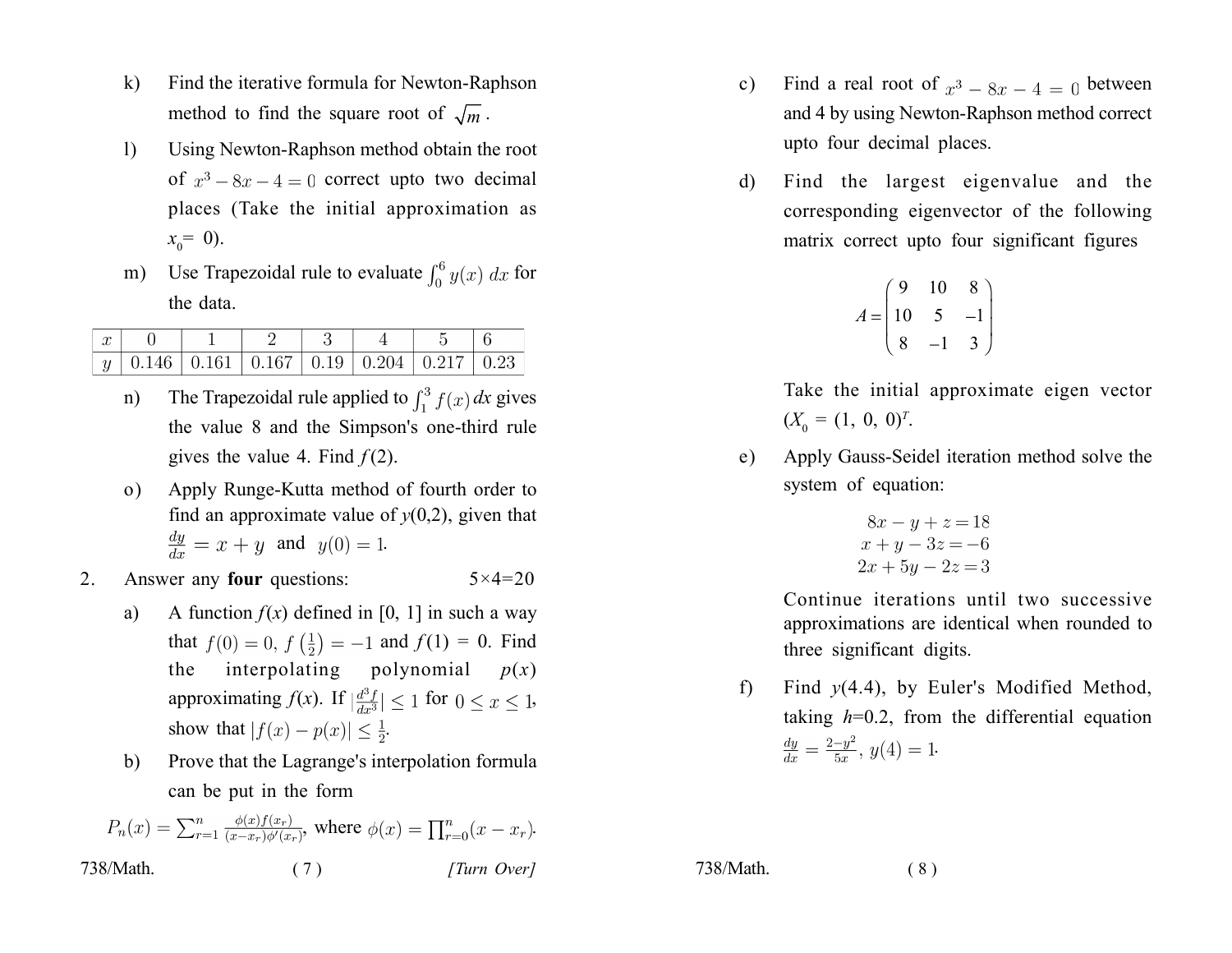- Find the iterative formula for Newton-Raphson  $\bf{k}$ method to find the square root of  $\sqrt{m}$ .
- $\left| \right|$ Using Newton-Raphson method obtain the root of  $x^3 - 8x - 4 = 0$  correct upto two decimal places (Take the initial approximation as  $x_0 = 0$ ).
- Use Trapezoidal rule to evaluate  $\int_0^6 y(x) dx$  for  $m)$ the data.

|  | $\vert y\vert$ 0.146   0.161   0.167   0.19   0.204   0.217   0.23 |  |  |  |
|--|--------------------------------------------------------------------|--|--|--|

- The Trapezoidal rule applied to  $\int_1^3 f(x) dx$  gives  $n)$ the value 8 and the Simpson's one-third rule gives the value 4. Find  $f(2)$ .
- Apply Runge-Kutta method of fourth order to  $\Omega$ ) find an approximate value of  $y(0,2)$ , given that  $\frac{dy}{dx} = x + y$  and  $y(0) = 1$ .
- Answer any **four** questions:  $5 \times 4 = 20$  $2_{-}$ 
	- A function  $f(x)$  defined in [0, 1] in such a way a) that  $f(0) = 0$ ,  $f(\frac{1}{2}) = -1$  and  $f(1) = 0$ . Find interpolating polynomial  $p(x)$ the approximating  $f(x)$ . If  $\left|\frac{d^3f}{dx^3}\right| \leq 1$  for  $0 \leq x \leq 1$ , show that  $|f(x) - p(x)| \leq \frac{1}{2}$ .
	- Prove that the Lagrange's interpolation formula b) can be put in the form

$$
P_n(x) = \sum_{r=1}^n \frac{\phi(x)f(x_r)}{(x-x_r)\phi'(x_r)}, \text{ where } \phi(x) = \prod_{r=0}^n (x-x_r).
$$
  
738/Math. (7) *[Turn Over]*

- Find a real root of  $x^3 8x 4 = 0$  between  $c)$ and 4 by using Newton-Raphson method correct upto four decimal places.
- Find the largest eigenvalue and the d) corresponding eigenvector of the following matrix correct upto four significant figures

$$
A = \begin{pmatrix} 9 & 10 & 8 \\ 10 & 5 & -1 \\ 8 & -1 & 3 \end{pmatrix}
$$

Take the initial approximate eigen vector  $(X_0 = (1, 0, 0)^T)$ .

Apply Gauss-Seidel iteration method solve the  $e)$ system of equation:

$$
8x - y + z = 18
$$
  
\n
$$
x + y - 3z = -6
$$
  
\n
$$
2x + 5y - 2z = 3
$$

Continue iterations until two successive approximations are identical when rounded to three significant digits.

Find  $y(4.4)$ , by Euler's Modified Method,  $f$ ) taking  $h=0.2$ , from the differential equation  $\frac{dy}{dx} = \frac{2-y^2}{5x}, y(4) = 1.$ 

 $(8)$ 

738/Math.